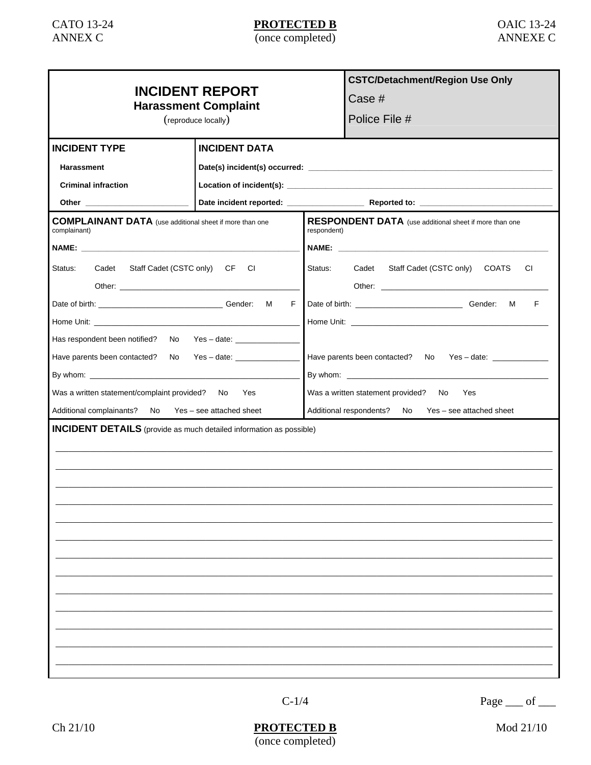| <b>INCIDENT REPORT</b><br><b>Harassment Complaint</b><br>(reproduce locally)   |                                |                                                                       | <b>CSTC/Detachment/Region Use Only</b>    |  |  |
|--------------------------------------------------------------------------------|--------------------------------|-----------------------------------------------------------------------|-------------------------------------------|--|--|
|                                                                                |                                |                                                                       | Case #                                    |  |  |
|                                                                                |                                |                                                                       | Police File #                             |  |  |
|                                                                                |                                |                                                                       |                                           |  |  |
| <b>INCIDENT TYPE</b>                                                           | <b>INCIDENT DATA</b>           |                                                                       |                                           |  |  |
| Harassment                                                                     |                                |                                                                       |                                           |  |  |
| <b>Criminal infraction</b>                                                     |                                |                                                                       |                                           |  |  |
|                                                                                |                                |                                                                       |                                           |  |  |
| <b>COMPLAINANT DATA</b> (use additional sheet if more than one<br>complainant) |                                | RESPONDENT DATA (use additional sheet if more than one<br>respondent) |                                           |  |  |
|                                                                                |                                |                                                                       |                                           |  |  |
| Status:<br>Cadet Staff Cadet (CSTC only) CF CI                                 |                                | Status:                                                               | Cadet Staff Cadet (CSTC only) COATS<br>СI |  |  |
| F.                                                                             |                                |                                                                       | F                                         |  |  |
|                                                                                |                                |                                                                       |                                           |  |  |
| Has respondent been notified?                                                  | No Yes – date: _______________ |                                                                       |                                           |  |  |
| Have parents been contacted?                                                   | No Yes-date:                   | Have parents been contacted? No Yes - date: ______________            |                                           |  |  |
|                                                                                |                                |                                                                       |                                           |  |  |
| Was a written statement/complaint provided? No Yes                             |                                | Was a written statement provided? No<br>Yes                           |                                           |  |  |
| Additional complainants? No Yes - see attached sheet                           |                                | Additional respondents? No Yes - see attached sheet                   |                                           |  |  |
| <b>INCIDENT DETAILS</b> (provide as much detailed information as possible)     |                                |                                                                       |                                           |  |  |
|                                                                                |                                |                                                                       |                                           |  |  |
|                                                                                |                                |                                                                       |                                           |  |  |
|                                                                                |                                |                                                                       |                                           |  |  |
|                                                                                |                                |                                                                       |                                           |  |  |
|                                                                                |                                |                                                                       |                                           |  |  |
|                                                                                |                                |                                                                       |                                           |  |  |
|                                                                                |                                |                                                                       |                                           |  |  |
|                                                                                |                                |                                                                       |                                           |  |  |
|                                                                                |                                |                                                                       |                                           |  |  |
|                                                                                |                                |                                                                       |                                           |  |  |

Page  $\_\$  of  $\_\_$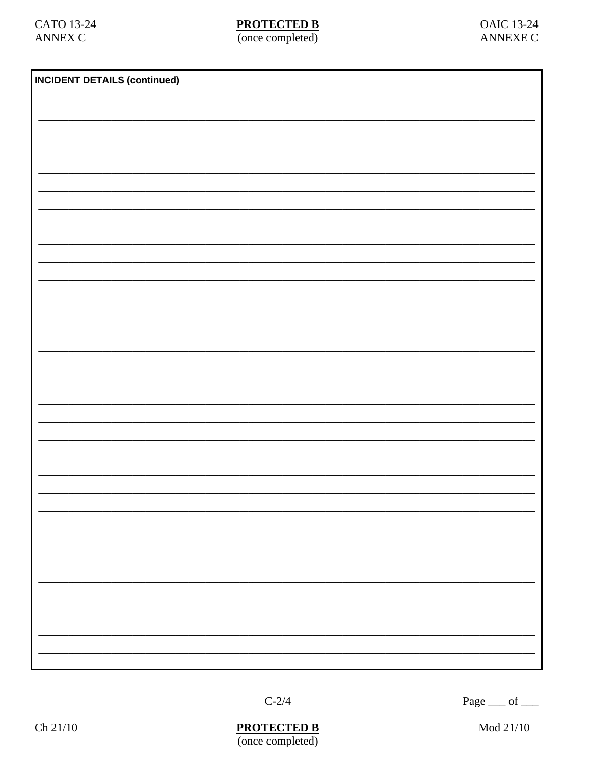| <b>INCIDENT DETAILS (continued)</b> |  |  |    |  |
|-------------------------------------|--|--|----|--|
|                                     |  |  |    |  |
|                                     |  |  |    |  |
|                                     |  |  |    |  |
|                                     |  |  |    |  |
|                                     |  |  |    |  |
|                                     |  |  |    |  |
|                                     |  |  |    |  |
|                                     |  |  |    |  |
|                                     |  |  |    |  |
|                                     |  |  |    |  |
|                                     |  |  |    |  |
|                                     |  |  |    |  |
|                                     |  |  |    |  |
|                                     |  |  |    |  |
|                                     |  |  |    |  |
|                                     |  |  |    |  |
|                                     |  |  |    |  |
|                                     |  |  |    |  |
|                                     |  |  |    |  |
|                                     |  |  |    |  |
|                                     |  |  |    |  |
|                                     |  |  |    |  |
|                                     |  |  |    |  |
|                                     |  |  |    |  |
|                                     |  |  | -  |  |
|                                     |  |  | -  |  |
|                                     |  |  |    |  |
|                                     |  |  | -  |  |
|                                     |  |  | -  |  |
|                                     |  |  |    |  |
|                                     |  |  |    |  |
|                                     |  |  |    |  |
|                                     |  |  | Ξ. |  |
|                                     |  |  |    |  |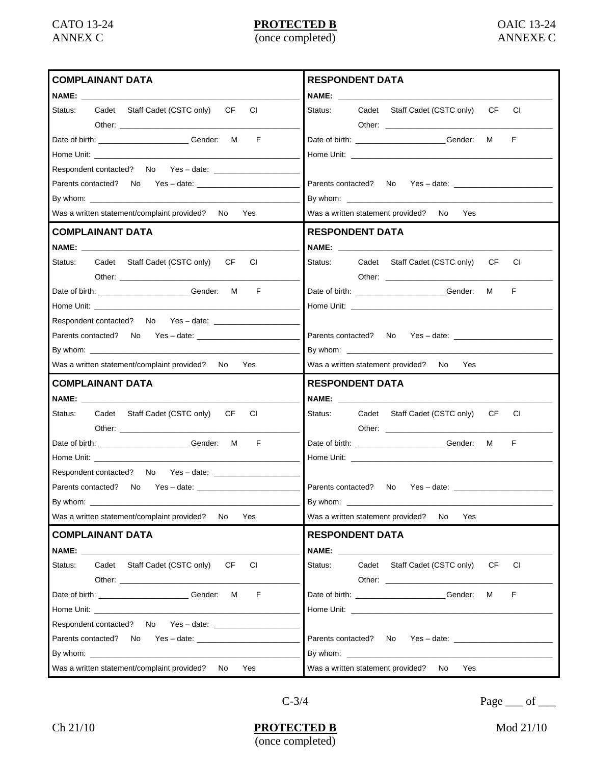| <b>COMPLAINANT DATA</b>                                                                                                                                                                                                        | <b>RESPONDENT DATA</b>                                                                                                                                                                                                         |  |  |  |  |
|--------------------------------------------------------------------------------------------------------------------------------------------------------------------------------------------------------------------------------|--------------------------------------------------------------------------------------------------------------------------------------------------------------------------------------------------------------------------------|--|--|--|--|
| NAME: We have a series of the series of the series of the series of the series of the series of the series of the series of the series of the series of the series of the series of the series of the series of the series of  |                                                                                                                                                                                                                                |  |  |  |  |
| Status:<br>Cadet Staff Cadet (CSTC only)<br>CF<br>CI                                                                                                                                                                           | Cadet Staff Cadet (CSTC only)<br>CF<br>CI.<br>Status:                                                                                                                                                                          |  |  |  |  |
|                                                                                                                                                                                                                                |                                                                                                                                                                                                                                |  |  |  |  |
| F<br>Date of birth: _______________________________Gender: M                                                                                                                                                                   | F<br>Date of birth: _______________________Gender: M                                                                                                                                                                           |  |  |  |  |
|                                                                                                                                                                                                                                |                                                                                                                                                                                                                                |  |  |  |  |
| Respondent contacted? No Yes - date: _________________                                                                                                                                                                         |                                                                                                                                                                                                                                |  |  |  |  |
| Parents contacted? No Yes - date:                                                                                                                                                                                              |                                                                                                                                                                                                                                |  |  |  |  |
| By whom: $\sqrt{2\pi}$                                                                                                                                                                                                         | By whom: $\sqrt{2\pi}$                                                                                                                                                                                                         |  |  |  |  |
| Was a written statement/complaint provided? No<br>Yes                                                                                                                                                                          | Was a written statement provided? No Yes                                                                                                                                                                                       |  |  |  |  |
| <b>COMPLAINANT DATA</b>                                                                                                                                                                                                        | <b>RESPONDENT DATA</b>                                                                                                                                                                                                         |  |  |  |  |
|                                                                                                                                                                                                                                |                                                                                                                                                                                                                                |  |  |  |  |
| Cadet Staff Cadet (CSTC only)<br>Status:<br>CF.<br>CI                                                                                                                                                                          | Status: Cadet Staff Cadet (CSTC only)<br>CF<br>CI.                                                                                                                                                                             |  |  |  |  |
|                                                                                                                                                                                                                                |                                                                                                                                                                                                                                |  |  |  |  |
| F<br>Date of birth: _______________________________Gender: M                                                                                                                                                                   | F<br>Date of birth: _____________________Gender:<br>M                                                                                                                                                                          |  |  |  |  |
| Home Unit: will be a series of the contract of the contract of the contract of the contract of the contract of the contract of the contract of the contract of the contract of the contract of the contract of the contract of |                                                                                                                                                                                                                                |  |  |  |  |
|                                                                                                                                                                                                                                |                                                                                                                                                                                                                                |  |  |  |  |
| Parents contacted? No Yes - date:                                                                                                                                                                                              | Parents contacted? No Yes - date:                                                                                                                                                                                              |  |  |  |  |
|                                                                                                                                                                                                                                |                                                                                                                                                                                                                                |  |  |  |  |
|                                                                                                                                                                                                                                |                                                                                                                                                                                                                                |  |  |  |  |
| Was a written statement/complaint provided? No<br>Yes                                                                                                                                                                          | Was a written statement provided?<br>No<br>Yes                                                                                                                                                                                 |  |  |  |  |
| <b>COMPLAINANT DATA</b>                                                                                                                                                                                                        | <b>RESPONDENT DATA</b>                                                                                                                                                                                                         |  |  |  |  |
|                                                                                                                                                                                                                                |                                                                                                                                                                                                                                |  |  |  |  |
| NAME: A CONTROLLER WAS ARRESTED FOR A STRUCK.                                                                                                                                                                                  | NAME: A CONTROLLER WAS ARRESTED FOR A STRUCK.                                                                                                                                                                                  |  |  |  |  |
| Status:<br>Cadet Staff Cadet (CSTC only)<br>CF.<br>CI                                                                                                                                                                          | Status:<br>Cadet Staff Cadet (CSTC only)<br>CF<br>CI                                                                                                                                                                           |  |  |  |  |
|                                                                                                                                                                                                                                |                                                                                                                                                                                                                                |  |  |  |  |
| F<br>Date of birth: _______________________________Gender: M                                                                                                                                                                   | F<br>Date of birth: _______________________Gender: M                                                                                                                                                                           |  |  |  |  |
|                                                                                                                                                                                                                                |                                                                                                                                                                                                                                |  |  |  |  |
| Respondent contacted? No Yes - date:                                                                                                                                                                                           |                                                                                                                                                                                                                                |  |  |  |  |
|                                                                                                                                                                                                                                | Parents contacted?                                                                                                                                                                                                             |  |  |  |  |
| By whom: $\sqrt{2\pi}$                                                                                                                                                                                                         |                                                                                                                                                                                                                                |  |  |  |  |
| Was a written statement/complaint provided?<br>No.<br>Yes                                                                                                                                                                      | Was a written statement provided?<br>No.<br>Yes                                                                                                                                                                                |  |  |  |  |
| <b>COMPLAINANT DATA</b>                                                                                                                                                                                                        | <b>RESPONDENT DATA</b>                                                                                                                                                                                                         |  |  |  |  |
| NAME: A CONTROLLER CONTROLLER CONTROLLER CONTROLLER CONTROLLER CONTROLLER CONTROLLER CONTROLLER CONTROLLER CONTROLLER CONTROLLER CONTROLLER CONTROLLER CONTROLLER CONTROLLER CONTROLLER CONTROLLER CONTROLLER CONTROLLER CONTR | NAME: WE ARRIVE THE CONTRACT OF THE CONTRACT OF THE CONTRACT OF THE CONTRACT OF THE CONTRACT OF THE CONTRACT OF THE CONTRACT OF THE CONTRACT OF THE CONTRACT OF THE CONTRACT OF THE CONTRACT OF THE CONTRACT OF THE CONTRACT O |  |  |  |  |
| Status:<br>Cadet Staff Cadet (CSTC only)<br>CF.<br>CI.                                                                                                                                                                         | CI.<br>Status:<br>Cadet Staff Cadet (CSTC only)<br>CF                                                                                                                                                                          |  |  |  |  |
| Other: when the contract of the contract of the contract of the contract of the contract of the contract of the contract of the contract of the contract of the contract of the contract of the contract of the contract of th |                                                                                                                                                                                                                                |  |  |  |  |
| F<br>Date of birth: __________________________Gender:<br>М                                                                                                                                                                     | F<br>Date of birth: ______________________Gender:<br>M                                                                                                                                                                         |  |  |  |  |
|                                                                                                                                                                                                                                |                                                                                                                                                                                                                                |  |  |  |  |
|                                                                                                                                                                                                                                |                                                                                                                                                                                                                                |  |  |  |  |
|                                                                                                                                                                                                                                |                                                                                                                                                                                                                                |  |  |  |  |
| By whom: $\qquad \qquad$                                                                                                                                                                                                       |                                                                                                                                                                                                                                |  |  |  |  |